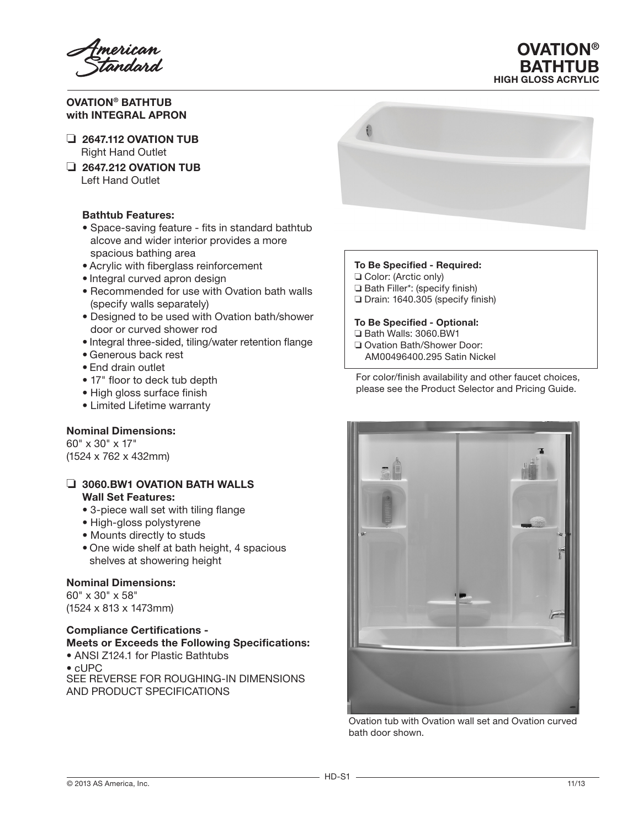OVATION® BATHTUB with INTEGRAL APRON

- $\Box$  2647.112 OVATION TUB Right Hand Outlet
- ❏ 2647.212 OVATION TUB Left Hand Outlet

# Bathtub Features:

- Space-saving feature fits in standard bathtub alcove and wider interior provides a more spacious bathing area
- • Acrylic with fiberglass reinforcement
- Integral curved apron design
- Recommended for use with Ovation bath walls (specify walls separately)
- Designed to be used with Ovation bath/shower door or curved shower rod
- Integral three-sided, tiling/water retention flange
- • Generous back rest
- End drain outlet
- 17" floor to deck tub depth
- High gloss surface finish
- Limited Lifetime warranty

## Nominal Dimensions:

60" x 30" x 17" (1524 x 762 x 432mm)

### ❏ 3060.BW1 OVATION BATH WALLS Wall Set Features:

- 3-piece wall set with tiling flange
- High-gloss polystyrene
- Mounts directly to studs
- One wide shelf at bath height, 4 spacious shelves at showering height

# Nominal Dimensions:

60" x 30" x 58" (1524 x 813 x 1473mm)

## Compliance Certifications - Meets or Exceeds the Following Specifications: • ANSI Z124.1 for Plastic Bathtubs

• cUPC SEE REVERSE FOR ROUGHING-IN DIMENSIONS AND PRODUCT SPECIFICATIONS



**OVATION®** BATHTUB HIGH GLOSS ACRYLIC

## To Be Specified - Required:

- ❏ Color: (Arctic only)
- ❏ Bath Filler\*: (specify finish)
- ❏ Drain: 1640.305 (specify finish)

#### To Be Specified - Optional:

- ❏ Bath Walls: 3060.BW1
- ❏ Ovation Bath/Shower Door:
- AM00496400.295 Satin Nickel

For color/finish availability and other faucet choices, please see the Product Selector and Pricing Guide.



Ovation tub with Ovation wall set and Ovation curved bath door shown.